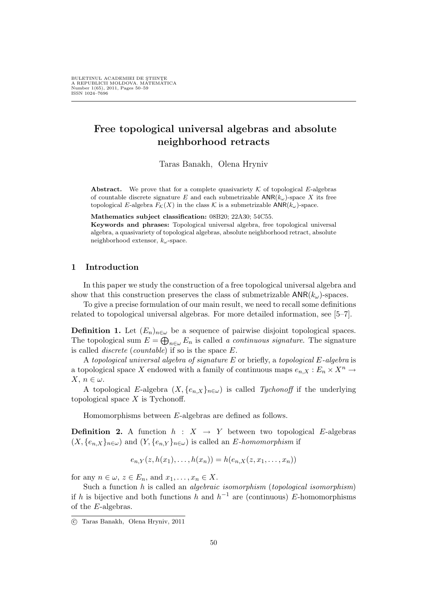# Free topological universal algebras and absolute neighborhood retracts

Taras Banakh, Olena Hryniv

**Abstract.** We prove that for a complete quasivariety K of topological E-algebras of countable discrete signature E and each submetrizable  $\mathsf{ANR}(k_\omega)$ -space X its free topological E-algebra  $F_{\mathcal{K}}(X)$  in the class  $\mathcal{K}$  is a submetrizable  $\mathsf{ANR}(k_\omega)$ -space.

Mathematics subject classification: 08B20; 22A30; 54C55.

Keywords and phrases: Topological universal algebra, free topological universal algebra, a quasivariety of topological algebras, absolute neighborhood retract, absolute neighborhood extensor,  $k_{\omega}$ -space.

### 1 Introduction

In this paper we study the construction of a free topological universal algebra and show that this construction preserves the class of submetrizable  $\mathsf{ANR}(k_{\omega})$ -spaces.

To give a precise formulation of our main result, we need to recall some definitions related to topological universal algebras. For more detailed information, see [5–7].

**Definition 1.** Let  $(E_n)_{n \in \omega}$  be a sequence of pairwise disjoint topological spaces. The topological sum  $E = \bigoplus_{n \in \omega} E_n$  is called a continuous signature. The signature is called *discrete* (*countable*) if so is the space  $E$ .

A topological universal algebra of signature E or briefly, a topological E-algebra is a topological space X endowed with a family of continuous maps  $e_{n,X}:E_n\times X^n\rightarrow \mathbb{R}$  $X, n \in \omega$ .

A topological E-algebra  $(X, \{e_{n,X}\}_{n\in\omega})$  is called Tychonoff if the underlying topological space  $X$  is Tychonoff.

Homomorphisms between E-algebras are defined as follows.

**Definition 2.** A function  $h : X \rightarrow Y$  between two topological E-algebras  $(X, \{e_{n,X}\}_{n\in\omega})$  and  $(Y, \{e_{n,Y}\}_{n\in\omega})$  is called an E-homomorphism if

$$
e_{n,Y}(z, h(x_1), \ldots, h(x_n)) = h(e_{n,X}(z, x_1, \ldots, x_n))
$$

for any  $n \in \omega$ ,  $z \in E_n$ , and  $x_1, \ldots, x_n \in X$ .

Such a function  $h$  is called an *algebraic isomorphism* (*topological isomorphism*) if h is bijective and both functions h and  $h^{-1}$  are (continuous) E-homomorphisms of the E-algebras.

<sup>°</sup>c Taras Banakh, Olena Hryniv, 2011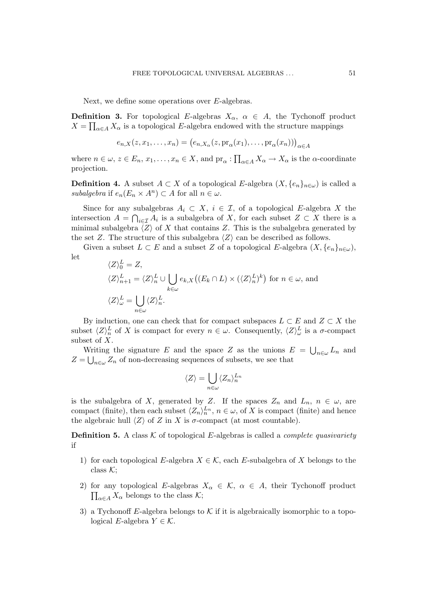Next, we define some operations over E-algebras.

**Definition 3.** For topological E-algebras  $X_{\alpha}$ ,  $\alpha \in A$ , the Tychonoff product  $X = \prod_{\alpha \in A} X_{\alpha}$  is a topological E-algebra endowed with the structure mappings

$$
e_{n,X}(z,x_1,\ldots,x_n) = (e_{n,X_\alpha}(z,\mathrm{pr}_\alpha(x_1),\ldots,\mathrm{pr}_\alpha(x_n)))_{\alpha\in A}
$$

where  $n \in \omega$ ,  $z \in E_n$ ,  $x_1, \ldots, x_n \in X$ , and  $\text{pr}_\alpha$ :  $\overline{ }$  $_{\alpha\in A}X_{\alpha} \to X_{\alpha}$  is the  $\alpha$ -coordinate projection.

**Definition 4.** A subset  $A \subset X$  of a topological E-algebra  $(X, \{e_n\}_{n\in\omega})$  is called a subalgebra if  $e_n(E_n \times A^n) \subset A$  for all  $n \in \omega$ .

Since for any subalgebras  $A_i \subset X$ ,  $i \in \mathcal{I}$ , of a topological E-algebra X the intersection  $A = \bigcap_{i \in \mathcal{I}} A_i$  is a subalgebra of X, for each subset  $Z \subset X$  there is a minimal subalgebra  $\langle Z \rangle$  of X that contains Z. This is the subalgebra generated by the set Z. The structure of this subalgebra  $\langle Z \rangle$  can be described as follows.

Given a subset  $L \subset E$  and a subset Z of a topological E-algebra  $(X, \{e_n\}_{n \in \omega}),$ let

$$
\langle Z \rangle_{0}^{L} = Z,
$$
  
\n
$$
\langle Z \rangle_{n+1}^{L} = \langle Z \rangle_{n}^{L} \cup \bigcup_{k \in \omega} e_{k,X} \big( (E_{k} \cap L) \times (\langle Z \rangle_{n}^{L})^{k} \big) \text{ for } n \in \omega, \text{ and}
$$
  
\n
$$
\langle Z \rangle_{\omega}^{L} = \bigcup_{n \in \omega} \langle Z \rangle_{n}^{L}.
$$

By induction, one can check that for compact subspaces  $L \subset E$  and  $Z \subset X$  the subset  $\langle Z \rangle_n^L$  of X is compact for every  $n \in \omega$ . Consequently,  $\langle Z \rangle_\omega^L$  is a  $\sigma$ -compact subset of X. S

Writing the signature E and the space Z as the unions  $E =$ Vriting the signature E and the space Z as the unions  $E = \bigcup_{n \in \omega} L_n$  and  $Z = \bigcup_{n \in \omega} Z_n$  of non-decreasing sequences of subsets, we see that

$$
\langle Z \rangle = \bigcup_{n \in \omega} \langle Z_n \rangle_n^{L_n}
$$

is the subalgebra of X, generated by Z. If the spaces  $Z_n$  and  $L_n$ ,  $n \in \omega$ , are compact (finite), then each subset  $\langle Z_n \rangle_n^{L_n}$ ,  $n \in \omega$ , of X is compact (finite) and hence the algebraic hull  $\langle Z \rangle$  of Z in X is  $\sigma$ -compact (at most countable).

**Definition 5.** A class  $K$  of topological E-algebras is called a *complete quasivariety* if

- 1) for each topological E-algebra  $X \in \mathcal{K}$ , each E-subalgebra of X belongs to the class  $K$ ;
- 2) for any topological E-algebras  $X_{\alpha} \in \mathcal{K}$ ,  $\alpha \in A$ , their Tychonoff product  $\prod_{\alpha \in A} X_{\alpha}$  belongs to the class  $\mathcal{K};$
- 3) a Tychonoff E-algebra belongs to  $K$  if it is algebraically isomorphic to a topological E-algebra  $Y \in \mathcal{K}$ .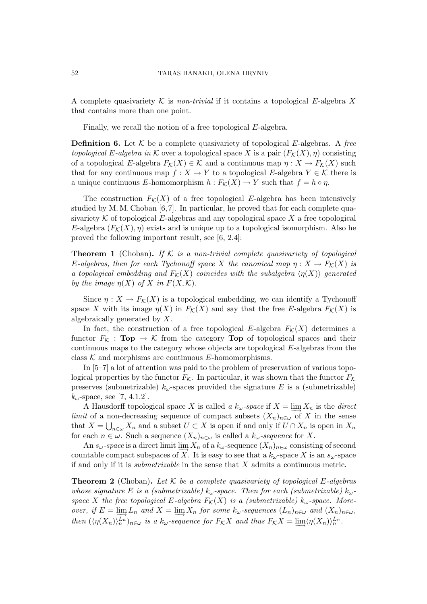A complete quasivariety K is non-trivial if it contains a topological E-algebra X that contains more than one point.

Finally, we recall the notion of a free topological E-algebra.

**Definition 6.** Let K be a complete quasivariety of topological E-algebras. A free topological E-algebra in K over a topological space X is a pair  $(F_K(X), \eta)$  consisting of a topological E-algebra  $F_{\mathcal{K}}(X) \in \mathcal{K}$  and a continuous map  $\eta: X \to F_{\mathcal{K}}(X)$  such that for any continuous map  $f: X \to Y$  to a topological E-algebra  $Y \in \mathcal{K}$  there is a unique continuous E-homomorphism  $h : F_{\mathcal{K}}(X) \to Y$  such that  $f = h \circ \eta$ .

The construction  $F_K(X)$  of a free topological E-algebra has been intensively studied by M. M. Choban [6,7]. In particular, he proved that for each complete quasivariety K of topological E-algebras and any topological space X a free topological E-algebra  $(F_K(X), \eta)$  exists and is unique up to a topological isomorphism. Also he proved the following important result, see [6, 2.4]:

**Theorem 1** (Choban). If  $K$  is a non-trivial complete quasivariety of topological E-algebras, then for each Tychonoff space X the canonical map  $\eta: X \to F_{\mathcal{K}}(X)$  is a topological embedding and  $F_K(X)$  coincides with the subalgebra  $\langle \eta(X) \rangle$  generated by the image  $\eta(X)$  of X in  $F(X,\mathcal{K})$ .

Since  $\eta: X \to F_{\mathcal{K}}(X)$  is a topological embedding, we can identify a Tychonoff space X with its image  $\eta(X)$  in  $F_{\mathcal{K}}(X)$  and say that the free E-algebra  $F_{\mathcal{K}}(X)$  is algebraically generated by X.

In fact, the construction of a free topological E-algebra  $F_{\mathcal{K}}(X)$  determines a functor  $F_{\mathcal{K}}$ : **Top**  $\rightarrow \mathcal{K}$  from the category **Top** of topological spaces and their continuous maps to the category whose objects are topological E-algebras from the class  $K$  and morphisms are continuous E-homomorphisms.

In [5–7] a lot of attention was paid to the problem of preservation of various topological properties by the functor  $F_{\mathcal{K}}$ . In particular, it was shown that the functor  $F_{\mathcal{K}}$ preserves (submetrizable)  $k_{\omega}$ -spaces provided the signature E is a (submetrizable)  $k_{\omega}$ -space, see [7, 4.1.2].

A Hausdorff topological space X is called a  $k_{\omega}$ -space if  $X = \lim_{\substack{\longrightarrow \\ \longrightarrow}} X_n$  is the direct limit of a non-decreasing sequence of compact subsets  $(X_n)_{n\in\omega}$  of X in the sense that  $X = \bigcup_{n \in \omega} X_n$  and a subset  $U \subset X$  is open if and only if  $U \cap X_n$  is open in  $X_n$ for each  $n \in \omega$ . Such a sequence  $(X_n)_{n \in \omega}$  is called a  $k_{\omega}$ -sequence for X.

An  $s_{\omega}$ -space is a direct limit  $\lim_{\Delta X} X_n$  of a  $k_{\omega}$ -sequence  $(X_n)_{n \in \omega}$  consisting of second countable compact subspaces of X. It is easy to see that a  $k_{\omega}$ -space X is an  $s_{\omega}$ -space if and only if it is submetrizable in the sense that X admits a continuous metric.

**Theorem 2** (Choban). Let K be a complete quasivariety of topological E-algebras whose signature E is a (submetrizable)  $k_{\omega}$ -space. Then for each (submetrizable)  $k_{\omega}$ space X the free topological E-algebra  $F_{\mathcal{K}}(X)$  is a (submetrizable)  $k_{\omega}$ -space. Moreover, if  $E = \lim_{n \to \infty} L_n$  and  $X = \lim_{n \to \infty} X_n$  for some  $k_{\omega}$ -sequences  $(L_n)_{n \in \omega}$  and  $(X_n)_{n \in \omega}$ , then  $(\langle \eta(X_n) \rangle_n^{L_n})_{n \in \omega}$  is a  $k_{\omega}$ -sequence for  $F_{\mathcal{K}}X$  and thus  $F_{\mathcal{K}}X = \underline{\lim} \langle \eta(X_n) \rangle_n^{L_n}$ .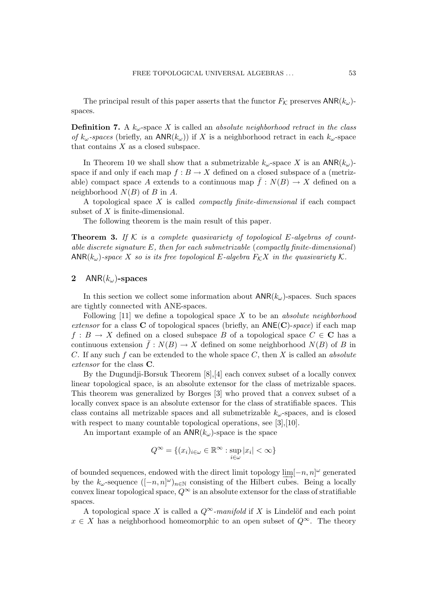The principal result of this paper asserts that the functor  $F_{\mathcal{K}}$  preserves  $\mathsf{ANR}(k_\omega)$ spaces.

**Definition 7.** A  $k_{\omega}$ -space X is called an absolute neighborhood retract in the class of  $k_{\omega}$ -spaces (briefly, an ANR( $k_{\omega}$ )) if X is a neighborhood retract in each  $k_{\omega}$ -space that contains  $X$  as a closed subspace.

In Theorem 10 we shall show that a submetrizable  $k_{\omega}$ -space X is an ANR( $k_{\omega}$ )space if and only if each map  $f : B \to X$  defined on a closed subspace of a (metrizable) compact space A extends to a continuous map  $\bar{f}: N(B) \to X$  defined on a neighborhood  $N(B)$  of B in A.

A topological space  $X$  is called *compactly finite-dimensional* if each compact subset of X is finite-dimensional.

The following theorem is the main result of this paper.

**Theorem 3.** If K is a complete quasivariety of topological E-algebras of countable discrete signature  $E$ , then for each submetrizable (compactly finite-dimensional) ANR( $k_{\omega}$ )-space X so is its free topological E-algebra  $F_{\mathcal{K}}X$  in the quasivariety K.

# 2 ANR $(k_{\omega})$ -spaces

In this section we collect some information about  $\mathsf{ANR}(k_\omega)$ -spaces. Such spaces are tightly connected with ANE-spaces.

Following  $[11]$  we define a topological space X to be an *absolute neighborhood* extensor for a class C of topological spaces (briefly, an  $\mathsf{ANE}(\mathbf{C})$ -space) if each map  $f : B \to X$  defined on a closed subspace B of a topological space  $C \in \mathbb{C}$  has a continuous extension  $\bar{f}: N(B) \to X$  defined on some neighborhood  $N(B)$  of B in C. If any such f can be extended to the whole space C, then X is called an *absolute* extensor for the class C.

By the Dugundji-Borsuk Theorem [8],[4] each convex subset of a locally convex linear topological space, is an absolute extensor for the class of metrizable spaces. This theorem was generalized by Borges [3] who proved that a convex subset of a locally convex space is an absolute extensor for the class of stratifiable spaces. This class contains all metrizable spaces and all submetrizable  $k_{\omega}$ -spaces, and is closed with respect to many countable topological operations, see [3], [10].

An important example of an  $\mathsf{ANR}(k_\omega)$ -space is the space

$$
Q^{\infty} = \{(x_i)_{i \in \omega} \in \mathbb{R}^{\infty} : \sup_{i \in \omega} |x_i| < \infty\}
$$

of bounded sequences, endowed with the direct limit topology  $\lim_{n \to \infty} [-n, n]^\omega$  generated by the  $k_{\omega}$ -sequence  $([-n,n]^{\omega})_{n\in\mathbb{N}}$  consisting of the Hilbert cubes. Being a locally convex linear topological space,  $Q^{\infty}$  is an absolute extensor for the class of stratifiable spaces.

A topological space X is called a  $Q^{\infty}$ -manifold if X is Lindelöf and each point  $x \in X$  has a neighborhood homeomorphic to an open subset of  $Q^{\infty}$ . The theory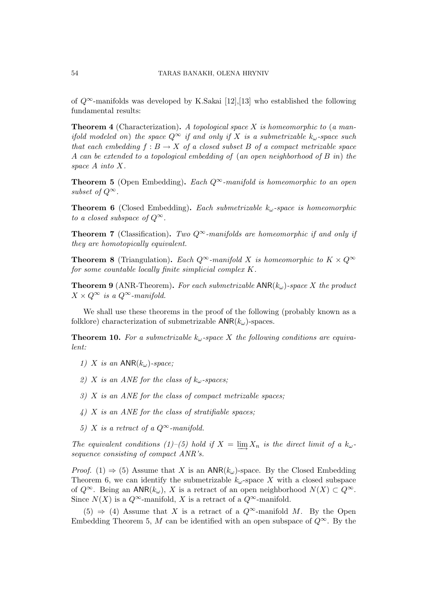of  $Q^{\infty}$ -manifolds was developed by K.Sakai [12],[13] who established the following fundamental results:

**Theorem 4** (Characterization). A topological space  $X$  is homeomorphic to (a manifold modeled on) the space  $Q^{\infty}$  if and only if X is a submetrizable  $k_{\omega}$ -space such that each embedding  $f : B \to X$  of a closed subset B of a compact metrizable space A can be extended to a topological embedding of (an open neighborhood of  $B$  in) the space A into X.

**Theorem 5** (Open Embedding). Each  $Q^{\infty}$ -manifold is homeomorphic to an open subset of  $Q^{\infty}$ .

**Theorem 6** (Closed Embedding). Each submetrizable  $k_{\omega}$ -space is homeomorphic to a closed subspace of  $Q^{\infty}$ .

**Theorem 7** (Classification). Two  $Q^{\infty}$ -manifolds are homeomorphic if and only if they are homotopically equivalent.

**Theorem 8** (Triangulation). Each  $Q^{\infty}$ -manifold X is homeomorphic to  $K \times Q^{\infty}$ for some countable locally finite simplicial complex K.

**Theorem 9** (ANR-Theorem). For each submetrizable  $\text{ANR}(k_{\omega})$ -space X the product  $X \times Q^{\infty}$  is a  $Q^{\infty}$ -manifold.

We shall use these theorems in the proof of the following (probably known as a folklore) characterization of submetrizable  $\mathsf{ANR}(k_{\omega})$ -spaces.

**Theorem 10.** For a submetrizable  $k_{\omega}$ -space X the following conditions are equivalent:

- 1) X is an  $\mathsf{ANR}(k_\omega)$ -space;
- 2) X is an ANE for the class of  $k_{\omega}$ -spaces;
- $3)$  X is an ANE for the class of compact metrizable spaces;
- $\overline{4}$ ) X is an ANE for the class of stratifiable spaces;
- 5) X is a retract of a  $Q^{\infty}$ -manifold.

The equivalent conditions (1)–(5) hold if  $X = \lim_{n \to \infty} X_n$  is the direct limit of a  $k_{\omega}$ sequence consisting of compact ANR's.

*Proof.* (1)  $\Rightarrow$  (5) Assume that X is an ANR( $k_{\omega}$ )-space. By the Closed Embedding Theorem 6, we can identify the submetrizable  $k_{\omega}$ -space X with a closed subspace of  $Q^{\infty}$ . Being an ANR( $k_{\omega}$ ), X is a retract of an open neighborhood  $N(X) \subset Q^{\infty}$ . Since  $N(X)$  is a  $Q^{\infty}$ -manifold, X is a retract of a  $Q^{\infty}$ -manifold.

 $(5) \Rightarrow (4)$  Assume that X is a retract of a  $Q^{\infty}$ -manifold M. By the Open Embedding Theorem 5, M can be identified with an open subspace of  $Q^{\infty}$ . By the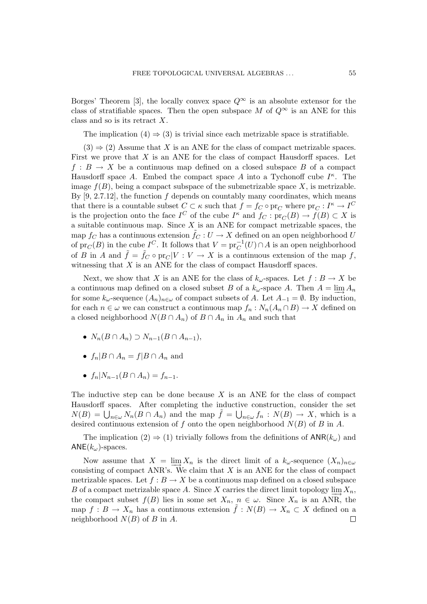Borges' Theorem [3], the locally convex space  $Q^{\infty}$  is an absolute extensor for the class of stratifiable spaces. Then the open subspace M of  $Q^{\infty}$  is an ANE for this class and so is its retract X.

The implication  $(4) \Rightarrow (3)$  is trivial since each metrizable space is stratifiable.

 $(3) \Rightarrow (2)$  Assume that X is an ANE for the class of compact metrizable spaces. First we prove that  $X$  is an ANE for the class of compact Hausdorff spaces. Let  $f : B \to X$  be a continuous map defined on a closed subspace B of a compact Hausdorff space A. Embed the compact space A into a Tychonoff cube  $I^{\kappa}$ . The image  $f(B)$ , being a compact subspace of the submetrizable space X, is metrizable. By  $[9, 2.7.12]$ , the function f depends on countably many coordinates, which means that there is a countable subset  $C \subset \kappa$  such that  $f = f_C \circ \text{pr}_C$  where  $\text{pr}_C : I^{\kappa} \to I^C$ is the projection onto the face  $I^C$  of the cube  $I^{\kappa}$  and  $f_C: pr_C(B) \to f(B) \subset X$  is a suitable continuous map. Since  $X$  is an ANE for compact metrizable spaces, the map  $f_C$  has a continuous extension  $\tilde{f}_C : U \to X$  defined on an open neighborhood U of  $pr_C(B)$  in the cube  $I^C$ . It follows that  $V = pr_C^{-1}(U) \cap A$  is an open neighborhood of B in A and  $\tilde{f} = \tilde{f}_C \circ \text{pr}_C | V : V \to X$  is a continuous extension of the map f, witnessing that  $X$  is an ANE for the class of compact Hausdorff spaces.

Next, we show that X is an ANE for the class of  $k_{\omega}$ -spaces. Let  $f : B \to X$  be a continuous map defined on a closed subset B of a  $k_{\omega}$ -space A. Then  $A = \lim_{n \to \infty} A_n$ for some  $k_{\omega}$ -sequence  $(A_n)_{n\in\omega}$  of compact subsets of A. Let  $A_{-1} = \emptyset$ . By induction, for each  $n \in \omega$  we can construct a continuous map  $f_n: N_n(A_n \cap B) \to X$  defined on a closed neighborhood  $N(B \cap A_n)$  of  $B \cap A_n$  in  $A_n$  and such that

- $N_n(B \cap A_n) \supset N_{n-1}(B \cap A_{n-1}),$
- $f_n|B \cap A_n = f|B \cap A_n$  and
- $f_n|N_{n-1}(B \cap A_n) = f_{n-1}$ .

The inductive step can be done because  $X$  is an ANE for the class of compact Hausdorff spaces. After completing the inductive construction, consider the set mausuoni spaces. After completing the inductive construction, consider the set  $N(B) = \bigcup_{n \in \omega} N_n(B \cap A_n)$  and the map  $\tilde{f} = \bigcup_{n \in \omega} f_n : N(B) \to X$ , which is a desired continuous extension of f onto the open neighborhood  $N(B)$  of B in A.

The implication (2)  $\Rightarrow$  (1) trivially follows from the definitions of ANR( $k_{\omega}$ ) and  $\mathsf{ANE}(k_\omega)$ -spaces.

Now assume that  $X = \lim_{n \to \infty} X_n$  is the direct limit of a  $k_{\omega}$ -sequence  $(X_n)_{n \in \omega}$ consisting of compact ANR's. We claim that  $X$  is an ANE for the class of compact metrizable spaces. Let  $f : B \to X$  be a continuous map defined on a closed subspace B of a compact metrizable space A. Since X carries the direct limit topology  $\lim_{n \to \infty} X_n$ , the compact subset  $f(B)$  lies in some set  $X_n$ ,  $n \in \omega$ . Since  $X_n$  is an ANR, the map  $f : B \to X_n$  has a continuous extension  $f : N(B) \to X_n \subset X$  defined on a neighborhood  $N(B)$  of B in A.  $\Box$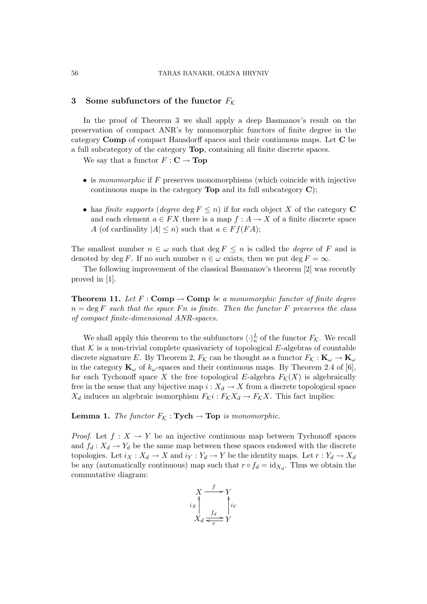#### 3 Some subfunctors of the functor  $F_{\mathcal{K}}$

In the proof of Theorem 3 we shall apply a deep Basmanov's result on the preservation of compact ANR's by monomorphic functors of finite degree in the category Comp of compact Hausdorff spaces and their continuous maps. Let C be a full subcategory of the category Top, containing all finite discrete spaces.

We say that a functor  $F: \mathbf{C} \to \mathbf{Top}$ 

- $\bullet$  is monomorphic if F preserves monomorphisms (which coincide with injective continuous maps in the category **Top** and its full subcategory  $\mathbf{C}$ );
- has *finite supports* (*degree* deg  $F \leq n$ ) if for each object X of the category C and each element  $a \in FX$  there is a map  $f : A \to X$  of a finite discrete space A (of cardinality  $|A| \leq n$ ) such that  $a \in Ff(FA)$ ;

The smallest number  $n \in \omega$  such that deg  $F \leq n$  is called the *degree* of F and is denoted by deg F. If no such number  $n \in \omega$  exists, then we put deg  $F = \infty$ .

The following improvement of the classical Basmanov's theorem [2] was recently proved in [1].

**Theorem 11.** Let  $F : Comp \rightarrow Comp$  be a monomorphic functor of finite degree  $n = \deg F$  such that the space  $Fn$  is finite. Then the functor F preserves the class of compact finite-dimensional ANR-spaces.

We shall apply this theorem to the subfunctors  $\langle \cdot \rangle_n^L$  of the functor  $F_{\mathcal{K}}$ . We recall that  $K$  is a non-trivial complete quasivariety of topological  $E$ -algebras of countable discrete signature E. By Theorem 2,  $F_K$  can be thought as a functor  $F_K : \mathbf{K}_{\omega} \to \mathbf{K}_{\omega}$ in the category  $\mathbf{K}_{\omega}$  of  $k_{\omega}$ -spaces and their continuous maps. By Theorem 2.4 of [6], for each Tychonoff space X the free topological E-algebra  $F_{\mathcal{K}}(X)$  is algebraically free in the sense that any bijective map  $i: X_d \to X$  from a discrete topological space  $X_d$  induces an algebraic isomorphism  $F_{\mathcal{K}}i : F_{\mathcal{K}}X_d \to F_{\mathcal{K}}X$ . This fact implies:

**Lemma 1.** The functor  $F_K : \mathbf{Tych} \to \mathbf{Top}$  is monomorphic.

*Proof.* Let  $f: X \to Y$  be an injective continuous map between Tychonoff spaces and  $f_d: X_d \to Y_d$  be the same map between these spaces endowed with the discrete topologies. Let  $i_X : X_d \to X$  and  $i_Y : Y_d \to Y$  be the identity maps. Let  $r : Y_d \to X_d$ be any (automatically continuous) map such that  $r \circ f_d = id_{X_d}$ . Thus we obtain the commutative diagram:

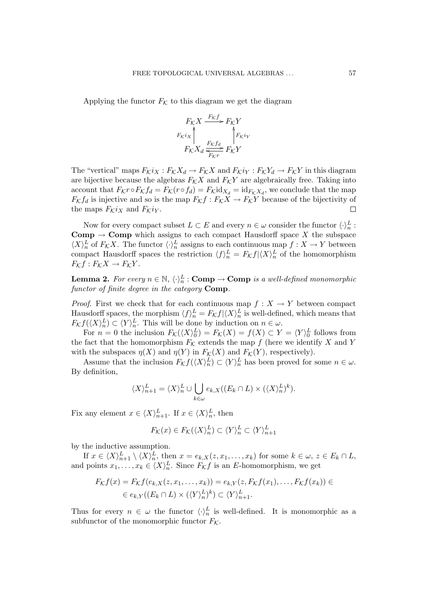Applying the functor  $F_{\mathcal{K}}$  to this diagram we get the diagram

$$
F_{\mathcal{K}}X \xrightarrow{F_{\mathcal{K}}f} F_{\mathcal{K}}Y
$$
  

$$
F_{\mathcal{K}}i_X \uparrow \qquad \qquad \uparrow F_{\mathcal{K}}i_Y
$$
  

$$
F_{\mathcal{K}}X_d \xleftarrow{F_{\mathcal{K}}f_d} F_{\mathcal{K}}Y
$$

The "vertical" maps  $F_K i_X : F_K X_d \to F_K X$  and  $F_K i_Y : F_K Y_d \to F_K Y$  in this diagram are bijective because the algebras  $F_K X$  and  $F_K Y$  are algebraically free. Taking into account that  $F_{\mathcal{K}} r \circ F_{\mathcal{K}} f_d = F_{\mathcal{K}} (r \circ f_d) = F_{\mathcal{K}} id_{X_d} = id_{F_{\mathcal{K}} X_d}$ , we conclude that the map  $F_{\mathcal{K}}f_d$  is injective and so is the map  $F_{\mathcal{K}}f : F_{\mathcal{K}}X \to F_{\mathcal{K}}Y$  because of the bijectivity of the maps  $F_K i_X$  and  $F_K i_Y$ .  $\Box$ 

Now for every compact subset  $L \subset E$  and every  $n \in \omega$  consider the functor  $\langle \cdot \rangle_n^L$ : **Comp**  $\rightarrow$  **Comp** which assigns to each compact Hausdorff space X the subspace  $\langle X \rangle_n^L$  of  $F_K X$ . The functor  $\langle \cdot \rangle_n^L$  assigns to each continuous map  $f : X \to Y$  between compact Hausdorff spaces the restriction  $\langle f \rangle_n^L = F_{\mathcal{K}} f | \langle X \rangle_n^L$  of the homomorphism  $F_{\mathcal{K}}f : F_{\mathcal{K}}X \to F_{\mathcal{K}}Y.$ 

**Lemma 2.** For every  $n \in \mathbb{N}$ ,  $\langle \cdot \rangle_n^L$ : **Comp**  $\rightarrow$  **Comp** is a well-defined monomorphic functor of finite degree in the category Comp.

*Proof.* First we check that for each continuous map  $f : X \to Y$  between compact Hausdorff spaces, the morphism  $\langle f \rangle_n^L = F_{\mathcal{K}} f | \langle X \rangle_n^L$  is well-defined, which means that  $F_{\mathcal{K}}f(\langle X \rangle_n^L) \subset \langle Y \rangle_n^L$ . This will be done by induction on  $n \in \omega$ .

For  $n = 0$  the inclusion  $F_{\mathcal{K}}(\langle X \rangle_0^L) = F_{\mathcal{K}}(X) = f(X) \subset Y = \langle Y \rangle_0^L$  follows from the fact that the homomorphism  $F_K$  extends the map f (here we identify X and Y with the subspaces  $\eta(X)$  and  $\eta(Y)$  in  $F_{\mathcal{K}}(X)$  and  $F_{\mathcal{K}}(Y)$ , respectively).

Assume that the inclusion  $F_{\mathcal{K}}f(\langle X \rangle_n^L) \subset \langle Y \rangle_n^L$  has been proved for some  $n \in \omega$ . By definition,

$$
\langle X \rangle_{n+1}^L = \langle X \rangle_n^L \cup \bigcup_{k \in \omega} e_{k,X}((E_k \cap L) \times (\langle X \rangle_n^L)^k).
$$

Fix any element  $x \in \langle X \rangle_{n+1}^L$ . If  $x \in \langle X \rangle_n^L$ , then

$$
F_{\mathcal{K}}(x) \in F_{\mathcal{K}}(\langle X \rangle_n^L) \subset \langle Y \rangle_n^L \subset \langle Y \rangle_{n+1}^L
$$

by the inductive assumption.

If  $x \in \langle X \rangle_{n+1}^L \setminus \langle X \rangle_n^L$ , then  $x = e_{k,X}(z, x_1, \ldots, x_k)$  for some  $k \in \omega, z \in E_k \cap L$ , and points  $x_1, \ldots, x_k \in \langle X \rangle_n^L$ . Since  $F_{\mathcal{K}} f$  is an E-homomorphism, we get

$$
F_{\mathcal{K}}f(x) = F_{\mathcal{K}}f(e_{k,X}(z, x_1, \dots, x_k)) = e_{k,Y}(z, F_{\mathcal{K}}f(x_1), \dots, F_{\mathcal{K}}f(x_k)) \in
$$
  

$$
\in e_{k,Y}((E_k \cap L) \times (\langle Y \rangle_n^L)^k) \subset \langle Y \rangle_{n+1}^L.
$$

Thus for every  $n \in \omega$  the functor  $\langle \cdot \rangle_n^L$  is well-defined. It is monomorphic as a subfunctor of the monomorphic functor  $F_{\mathcal{K}}$ .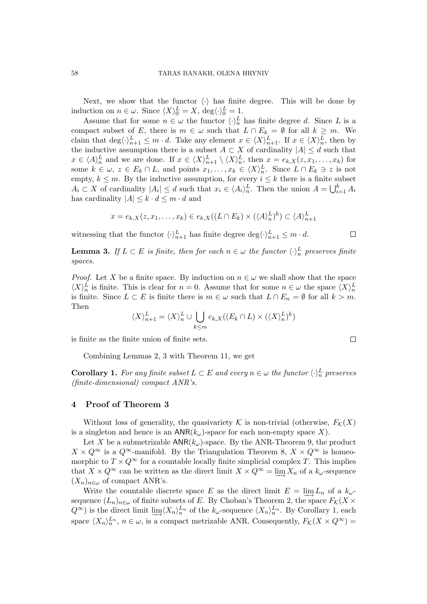Next, we show that the functor  $\langle \cdot \rangle$  has finite degree. This will be done by induction on  $n \in \omega$ . Since  $\langle X \rangle_0^L = X$ , deg $\langle \cdot \rangle_0^L = 1$ .

Assume that for some  $n \in \omega$  the functor  $\langle \cdot \rangle_n^L$  has finite degree d. Since L is a compact subset of E, there is  $m \in \omega$  such that  $L \cap E_k = \emptyset$  for all  $k \geq m$ . We claim that  $\deg \langle \cdot \rangle_{n+1}^L \leq m \cdot d$ . Take any element  $x \in \langle X \rangle_{n+1}^L$ . If  $x \in \langle X \rangle_n^L$ , then by the inductive assumption there is a subset  $A \subset X$  of cardinality  $|A| \le d$  such that  $x \in \langle A \rangle_n^L$  and we are done. If  $x \in \langle X \rangle_{n+1}^L \setminus \langle X \rangle_n^L$ , then  $x = e_{k,X}(z, x_1, \ldots, x_k)$  for some  $k \in \omega$ ,  $z \in E_k \cap L$ , and points  $x_1, \ldots, x_k \in \langle X \rangle_n^L$ . Since  $L \cap E_k \ni z$  is not empty,  $k \leq m$ . By the inductive assumption, for every  $i \leq k$  there is a finite subset empty,  $\kappa \leq m$ . By the moductive assumption, for every  $i \leq \kappa$  there is a finite stead.<br>  $A_i \subset X$  of cardinality  $|A_i| \leq d$  such that  $x_i \in \langle A_i \rangle_n^L$ . Then the union  $A = \bigcup_{i=1}^k A_i$ .  $_{i=1}^{\kappa}$   $A_i$ has cardinality  $|A| \leq k \cdot d \leq m \cdot d$  and

$$
x = e_{k,X}(z, x_1, \dots, x_k) \in e_{k,X}((L \cap E_k) \times (\langle A \rangle_n^L)^k) \subset \langle A \rangle_{n+1}^L
$$

witnessing that the functor  $\langle \cdot \rangle_{n+1}^L$  has finite degree  $\deg \langle \cdot \rangle_{n+1}^L \leq m \cdot d$ .

 $\Box$ 

 $\Box$ 

**Lemma 3.** If  $L \subset E$  is finite, then for each  $n \in \omega$  the functor  $\langle \cdot \rangle_n^L$  preserves finite spaces.

*Proof.* Let X be a finite space. By induction on  $n \in \omega$  we shall show that the space  $\langle X \rangle_n^L$  is finite. This is clear for  $n = 0$ . Assume that for some  $n \in \omega$  the space  $\langle X \rangle_n^L$ is finite. Since  $L \subset E$  is finite there is  $m \in \omega$  such that  $L \cap E_n = \emptyset$  for all  $k > m$ . Then  $\mathbf{r}$ 

$$
\langle X \rangle_{n+1}^L = \langle X \rangle_n^L \cup \bigcup_{k \le m} e_{k,X}((E_k \cap L) \times (\langle X \rangle_n^L)^k)
$$

is finite as the finite union of finite sets.

Combining Lemmas 2, 3 with Theorem 11, we get

**Corollary 1.** For any finite subset  $L \subset E$  and every  $n \in \omega$  the functor  $\langle \cdot \rangle_n^L$  preserves (finite-dimensional) compact ANR's.

## 4 Proof of Theorem 3

Without loss of generality, the quasivariety K is non-trivial (otherwise,  $F_K(X)$ ) is a singleton and hence is an  $\mathsf{ANR}(k_\omega)$ -space for each non-empty space X).

Let X be a submetrizable  $\mathsf{ANR}(k_\omega)$ -space. By the ANR-Theorem 9, the product  $X \times Q^{\infty}$  is a  $Q^{\infty}$ -manifold. By the Triangulation Theorem 8,  $X \times Q^{\infty}$  is homeomorphic to  $T \times Q^{\infty}$  for a countable locally finite simplicial complex T. This implies that  $X \times Q^{\infty}$  can be written as the direct limit  $X \times Q^{\infty} = \varinjlim X_n$  of a  $k_{\omega}$ -sequence  $(X_n)_{n\in\omega}$  of compact ANR's.

Write the countable discrete space E as the direct limit  $E = \lim_{n \to \infty} L_n$  of a  $k_{\omega}$ sequence  $(L_n)_{n\in\omega}$  of finite subsets of E. By Choban's Theorem 2, the space  $F_{\mathcal{K}}(X\times$  $Q^{\infty}$ ) is the direct limit  $\underline{\lim} \langle X_n \rangle_n^{L_n}$  of the  $k_{\omega}$ -sequence  $\langle X_n \rangle_n^{L_n}$ . By Corollary 1, each space  $\langle X_n \rangle_n^{L_n}$ ,  $n \in \omega$ , is a compact metrizable ANR. Consequently,  $F_{\mathcal{K}}(X \times Q^{\infty}) =$